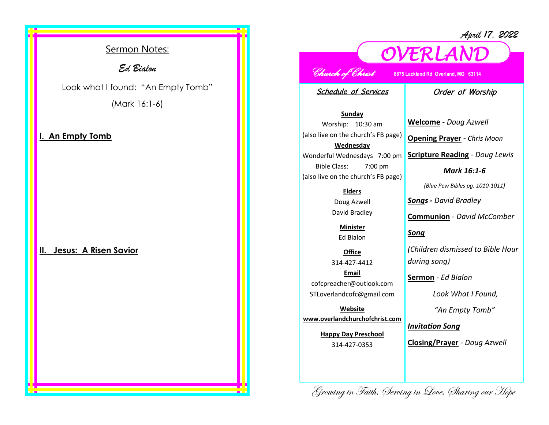*April 17, 2022*

## Sermon Notes:

*Ed Bialon* 

Look what I found: "An Empty Tomb" (Mark 16:1-6)

### **An Empty Tomb**

**II. Jesus: A Risen Savior**

# *Church of Christ* **8875 Lackland Rd Overland, MO 63114**

*OVERLAND* 

Schedule of Services

### Order of Worship

**Sunday** Worship: 10:30 am (also live on the church's FB page) **Wednesday** Wonderful Wednesdays 7:00 pm Bible Class: 7:00 pm (also live on the church's FB page)

#### **Elders**

Doug Azwell David Bradley

**Minister** Ed Bialon

**Office** 314-427-4412 **Email** cofcpreacher@outlook.com STLoverlandcofc@gmail.com

**Website www.overlandchurchofchrist.com**

> **Happy Day Preschool** 314-427-0353

**Welcome** *- Doug Azwell*

**Opening Prayer** *- Chris Moon*

**Scripture Reading** *- Doug Lewis* 

*Mark 16:1-6*

*(Blue Pew Bibles pg. 1010-1011)*

*Songs - David Bradley*

**Communion** *- David McComber*

*Song*

*(Children dismissed to Bible Hour during song)*

**Sermon** *- Ed Bialon*

*Look What I Found,* 

*"An Empty Tomb"*

*Invitation Song*

**Closing/Prayer** *- Doug Azwell*

Growing in Faith, Serving in Love, Sharing our Hope